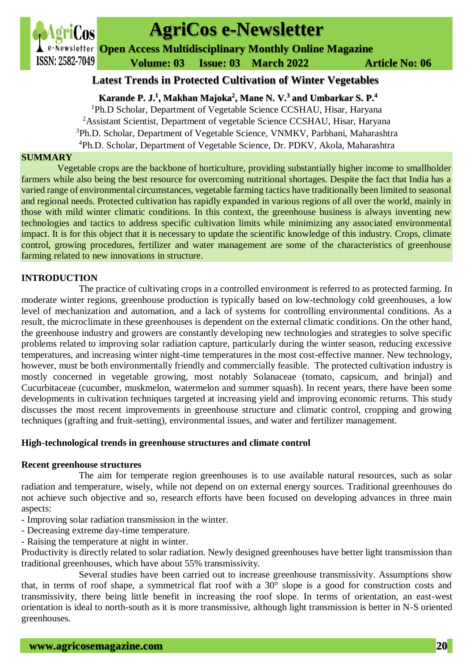

# **AgriCos e-Newsletter**

**Open Access Multidisciplinary Monthly Online Magazine**

 **Volume: 03 Issue: 03 March 2022 Article No: 06**

# **Latest Trends in Protected Cultivation of Winter Vegetables**

**Karande P. J.<sup>1</sup> , Makhan Majoka<sup>2</sup> , Mane N. V.<sup>3</sup> and Umbarkar S. P.<sup>4</sup>**

Ph.D Scholar, Department of Vegetable Science CCSHAU, Hisar, Haryana <sup>2</sup>Assistant Scientist, Department of vegetable Science CCSHAU, Hisar, Haryana Ph.D. Scholar, Department of Vegetable Science, VNMKV, Parbhani, Maharashtra Ph.D. Scholar, Department of Vegetable Science, Dr. PDKV, Akola, Maharashtra

# **SUMMARY**

Vegetable crops are the backbone of horticulture, providing substantially higher income to smallholder farmers while also being the best resource for overcoming nutritional shortages. Despite the fact that India has a varied range of environmental circumstances, vegetable farming tactics have traditionally been limited to seasonal and regional needs. Protected cultivation has rapidly expanded in various regions of all over the world, mainly in those with mild winter climatic conditions. In this context, the greenhouse business is always inventing new technologies and tactics to address specific cultivation limits while minimizing any associated environmental impact. It is for this object that it is necessary to update the scientific knowledge of this industry. Crops, climate control, growing procedures, fertilizer and water management are some of the characteristics of greenhouse farming related to new innovations in structure.

# **INTRODUCTION**

The practice of cultivating crops in a controlled environment is referred to as protected farming. In moderate winter regions, greenhouse production is typically based on low-technology cold greenhouses, a low level of mechanization and automation, and a lack of systems for controlling environmental conditions. As a result, the microclimate in these greenhouses is dependent on the external climatic conditions. On the other hand, the greenhouse industry and growers are constantly developing new technologies and strategies to solve specific problems related to improving solar radiation capture, particularly during the winter season, reducing excessive temperatures, and increasing winter night-time temperatures in the most cost-effective manner. New technology, however, must be both environmentally friendly and commercially feasible. The protected cultivation industry is mostly concerned in vegetable growing, most notably Solanaceae (tomato, capsicum, and brinjal) and Cucurbitaceae (cucumber, muskmelon, watermelon and summer squash). In recent years, there have been some developments in cultivation techniques targeted at increasing yield and improving economic returns. This study discusses the most recent improvements in greenhouse structure and climatic control, cropping and growing techniques (grafting and fruit-setting), environmental issues, and water and fertilizer management.

# **High-technological trends in greenhouse structures and climate control**

# **Recent greenhouse structures**

The aim for temperate region greenhouses is to use available natural resources, such as solar radiation and temperature, wisely, while not depend on on external energy sources. Traditional greenhouses do not achieve such objective and so, research efforts have been focused on developing advances in three main aspects:

- Improving solar radiation transmission in the winter.
- Decreasing extreme day-time temperature.
- Raising the temperature at night in winter.

Productivity is directly related to solar radiation. Newly designed greenhouses have better light transmission than traditional greenhouses, which have about 55% transmissivity.

Several studies have been carried out to increase greenhouse transmissivity. Assumptions show that, in terms of roof shape, a symmetrical flat roof with a 30° slope is a good for construction costs and transmissivity, there being little benefit in increasing the roof slope. In terms of orientation, an east-west orientation is ideal to north-south as it is more transmissive, although light transmission is better in N-S oriented greenhouses.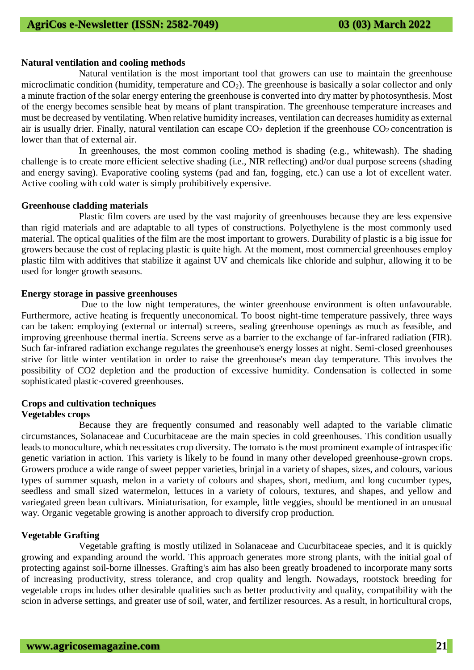#### **Natural ventilation and cooling methods**

Natural ventilation is the most important tool that growers can use to maintain the greenhouse microclimatic condition (humidity, temperature and  $CO<sub>2</sub>$ ). The greenhouse is basically a solar collector and only a minute fraction of the solar energy entering the greenhouse is converted into dry matter by photosynthesis. Most of the energy becomes sensible heat by means of plant transpiration. The greenhouse temperature increases and must be decreased by ventilating. When relative humidity increases, ventilation can decreases humidity as external air is usually drier. Finally, natural ventilation can escape  $CO<sub>2</sub>$  depletion if the greenhouse  $CO<sub>2</sub>$  concentration is lower than that of external air.

In greenhouses, the most common cooling method is shading (e.g., whitewash). The shading challenge is to create more efficient selective shading (i.e., NIR reflecting) and/or dual purpose screens (shading and energy saving). Evaporative cooling systems (pad and fan, fogging, etc.) can use a lot of excellent water. Active cooling with cold water is simply prohibitively expensive.

#### **Greenhouse cladding materials**

Plastic film covers are used by the vast majority of greenhouses because they are less expensive than rigid materials and are adaptable to all types of constructions. Polyethylene is the most commonly used material. The optical qualities of the film are the most important to growers. Durability of plastic is a big issue for growers because the cost of replacing plastic is quite high. At the moment, most commercial greenhouses employ plastic film with additives that stabilize it against UV and chemicals like chloride and sulphur, allowing it to be used for longer growth seasons.

#### **Energy storage in passive greenhouses**

Due to the low night temperatures, the winter greenhouse environment is often unfavourable. Furthermore, active heating is frequently uneconomical. To boost night-time temperature passively, three ways can be taken: employing (external or internal) screens, sealing greenhouse openings as much as feasible, and improving greenhouse thermal inertia. Screens serve as a barrier to the exchange of far-infrared radiation (FIR). Such far-infrared radiation exchange regulates the greenhouse's energy losses at night. Semi-closed greenhouses strive for little winter ventilation in order to raise the greenhouse's mean day temperature. This involves the possibility of CO2 depletion and the production of excessive humidity. Condensation is collected in some sophisticated plastic-covered greenhouses.

#### **Crops and cultivation techniques Vegetables crops**

Because they are frequently consumed and reasonably well adapted to the variable climatic circumstances, Solanaceae and Cucurbitaceae are the main species in cold greenhouses. This condition usually leads to monoculture, which necessitates crop diversity. The tomato is the most prominent example of intraspecific genetic variation in action. This variety is likely to be found in many other developed greenhouse-grown crops. Growers produce a wide range of sweet pepper varieties, brinjal in a variety of shapes, sizes, and colours, various types of summer squash, melon in a variety of colours and shapes, short, medium, and long cucumber types, seedless and small sized watermelon, lettuces in a variety of colours, textures, and shapes, and yellow and variegated green bean cultivars. Miniaturisation, for example, little veggies, should be mentioned in an unusual way. Organic vegetable growing is another approach to diversify crop production.

# **Vegetable Grafting**

Vegetable grafting is mostly utilized in Solanaceae and Cucurbitaceae species, and it is quickly growing and expanding around the world. This approach generates more strong plants, with the initial goal of protecting against soil-borne illnesses. Grafting's aim has also been greatly broadened to incorporate many sorts of increasing productivity, stress tolerance, and crop quality and length. Nowadays, rootstock breeding for vegetable crops includes other desirable qualities such as better productivity and quality, compatibility with the scion in adverse settings, and greater use of soil, water, and fertilizer resources. As a result, in horticultural crops,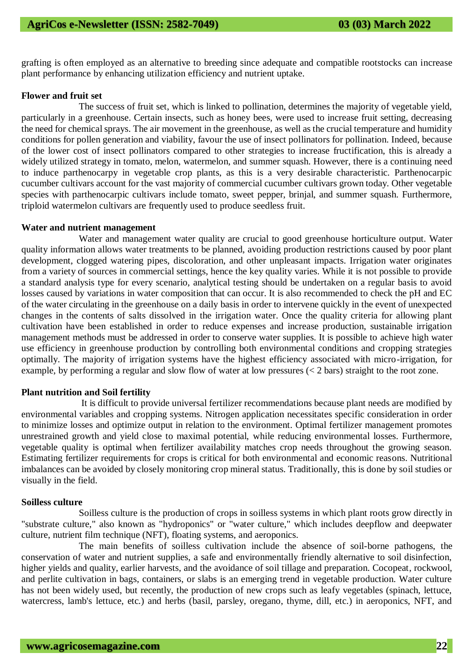grafting is often employed as an alternative to breeding since adequate and compatible rootstocks can increase plant performance by enhancing utilization efficiency and nutrient uptake.

#### **Flower and fruit set**

The success of fruit set, which is linked to pollination, determines the majority of vegetable yield, particularly in a greenhouse. Certain insects, such as honey bees, were used to increase fruit setting, decreasing the need for chemical sprays. The air movement in the greenhouse, as well as the crucial temperature and humidity conditions for pollen generation and viability, favour the use of insect pollinators for pollination. Indeed, because of the lower cost of insect pollinators compared to other strategies to increase fructification, this is already a widely utilized strategy in tomato, melon, watermelon, and summer squash. However, there is a continuing need to induce parthenocarpy in vegetable crop plants, as this is a very desirable characteristic. Parthenocarpic cucumber cultivars account for the vast majority of commercial cucumber cultivars grown today. Other vegetable species with parthenocarpic cultivars include tomato, sweet pepper, brinjal, and summer squash. Furthermore, triploid watermelon cultivars are frequently used to produce seedless fruit.

#### **Water and nutrient management**

Water and management water quality are crucial to good greenhouse horticulture output. Water quality information allows water treatments to be planned, avoiding production restrictions caused by poor plant development, clogged watering pipes, discoloration, and other unpleasant impacts. Irrigation water originates from a variety of sources in commercial settings, hence the key quality varies. While it is not possible to provide a standard analysis type for every scenario, analytical testing should be undertaken on a regular basis to avoid losses caused by variations in water composition that can occur. It is also recommended to check the pH and EC of the water circulating in the greenhouse on a daily basis in order to intervene quickly in the event of unexpected changes in the contents of salts dissolved in the irrigation water. Once the quality criteria for allowing plant cultivation have been established in order to reduce expenses and increase production, sustainable irrigation management methods must be addressed in order to conserve water supplies. It is possible to achieve high water use efficiency in greenhouse production by controlling both environmental conditions and cropping strategies optimally. The majority of irrigation systems have the highest efficiency associated with micro-irrigation, for example, by performing a regular and slow flow of water at low pressures (< 2 bars) straight to the root zone.

# **Plant nutrition and Soil fertility**

It is difficult to provide universal fertilizer recommendations because plant needs are modified by environmental variables and cropping systems. Nitrogen application necessitates specific consideration in order to minimize losses and optimize output in relation to the environment. Optimal fertilizer management promotes unrestrained growth and yield close to maximal potential, while reducing environmental losses. Furthermore, vegetable quality is optimal when fertilizer availability matches crop needs throughout the growing season. Estimating fertilizer requirements for crops is critical for both environmental and economic reasons. Nutritional imbalances can be avoided by closely monitoring crop mineral status. Traditionally, this is done by soil studies or visually in the field.

#### **Soilless culture**

Soilless culture is the production of crops in soilless systems in which plant roots grow directly in "substrate culture," also known as "hydroponics" or "water culture," which includes deepflow and deepwater culture, nutrient film technique (NFT), floating systems, and aeroponics.

The main benefits of soilless cultivation include the absence of soil-borne pathogens, the conservation of water and nutrient supplies, a safe and environmentally friendly alternative to soil disinfection, higher yields and quality, earlier harvests, and the avoidance of soil tillage and preparation. Cocopeat, rockwool, and perlite cultivation in bags, containers, or slabs is an emerging trend in vegetable production. Water culture has not been widely used, but recently, the production of new crops such as leafy vegetables (spinach, lettuce, watercress, lamb's lettuce, etc.) and herbs (basil, parsley, oregano, thyme, dill, etc.) in aeroponics, NFT, and